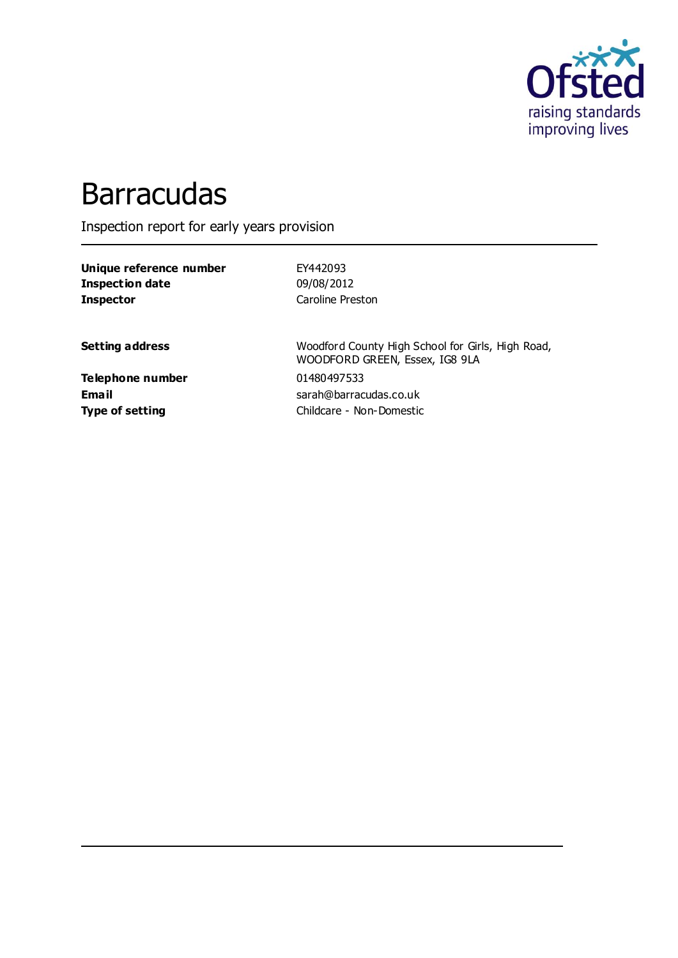

# **Barracudas**

Inspection report for early years provision

**Unique reference number** EY442093 **Inspection date** 09/08/2012 **Inspector** Caroline Preston

**Setting address** Woodford County High School for Girls, High Road, WOODFORD GREEN, Essex, IG8 9LA **Email** sarah@barracudas.co.uk **Type of setting** Childcare - Non-Domestic

**Telephone number** 01480497533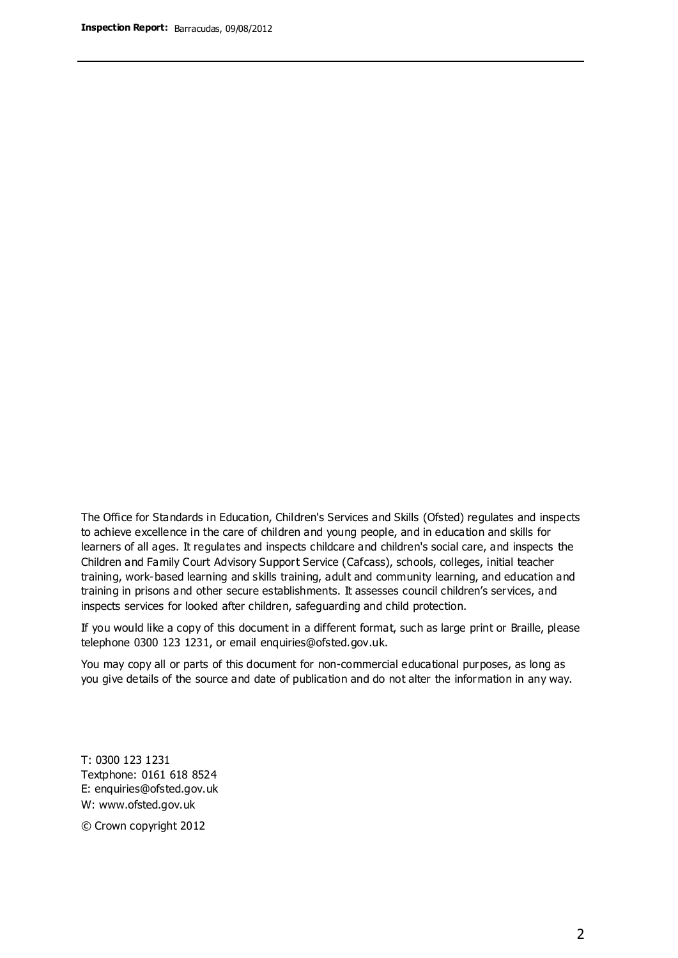The Office for Standards in Education, Children's Services and Skills (Ofsted) regulates and inspects to achieve excellence in the care of children and young people, and in education and skills for learners of all ages. It regulates and inspects childcare and children's social care, and inspects the Children and Family Court Advisory Support Service (Cafcass), schools, colleges, initial teacher training, work-based learning and skills training, adult and community learning, and education and training in prisons and other secure establishments. It assesses council children's services, and inspects services for looked after children, safeguarding and child protection.

If you would like a copy of this document in a different format, such as large print or Braille, please telephone 0300 123 1231, or email enquiries@ofsted.gov.uk.

You may copy all or parts of this document for non-commercial educational purposes, as long as you give details of the source and date of publication and do not alter the information in any way.

T: 0300 123 1231 Textphone: 0161 618 8524 E: enquiries@ofsted.gov.uk W: [www.ofsted.gov.uk](http://www.ofsted.gov.uk/)

© Crown copyright 2012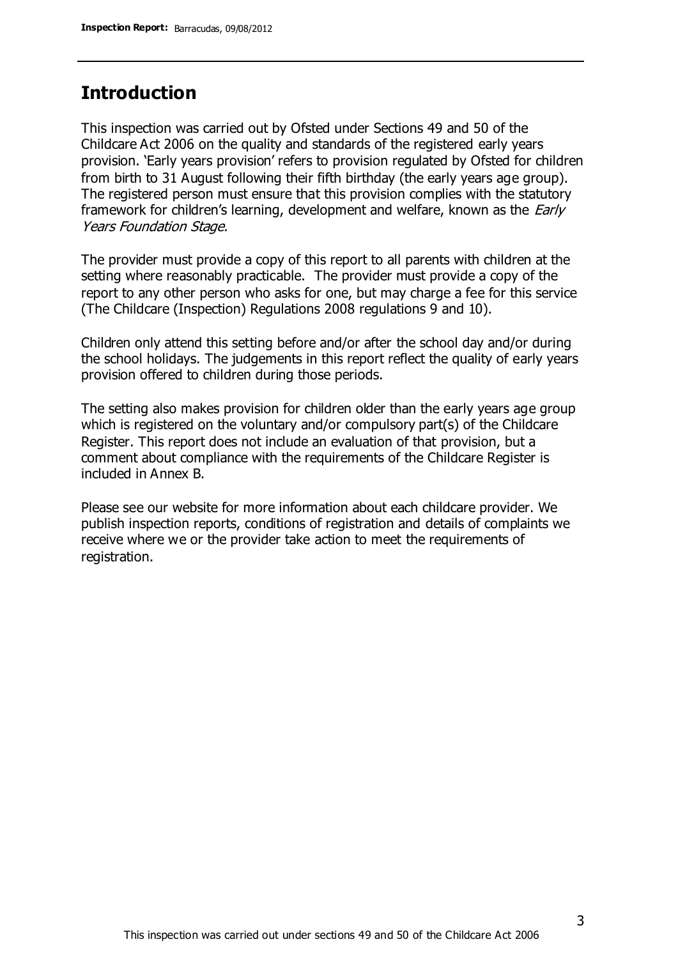### **Introduction**

This inspection was carried out by Ofsted under Sections 49 and 50 of the Childcare Act 2006 on the quality and standards of the registered early years provision. 'Early years provision' refers to provision regulated by Ofsted for children from birth to 31 August following their fifth birthday (the early years age group). The registered person must ensure that this provision complies with the statutory framework for children's learning, development and welfare, known as the *Early* Years Foundation Stage.

The provider must provide a copy of this report to all parents with children at the setting where reasonably practicable. The provider must provide a copy of the report to any other person who asks for one, but may charge a fee for this service (The Childcare (Inspection) Regulations 2008 regulations 9 and 10).

Children only attend this setting before and/or after the school day and/or during the school holidays. The judgements in this report reflect the quality of early years provision offered to children during those periods.

The setting also makes provision for children older than the early years age group which is registered on the voluntary and/or compulsory part(s) of the Childcare Register. This report does not include an evaluation of that provision, but a comment about compliance with the requirements of the Childcare Register is included in Annex B.

Please see our website for more information about each childcare provider. We publish inspection reports, conditions of registration and details of complaints we receive where we or the provider take action to meet the requirements of registration.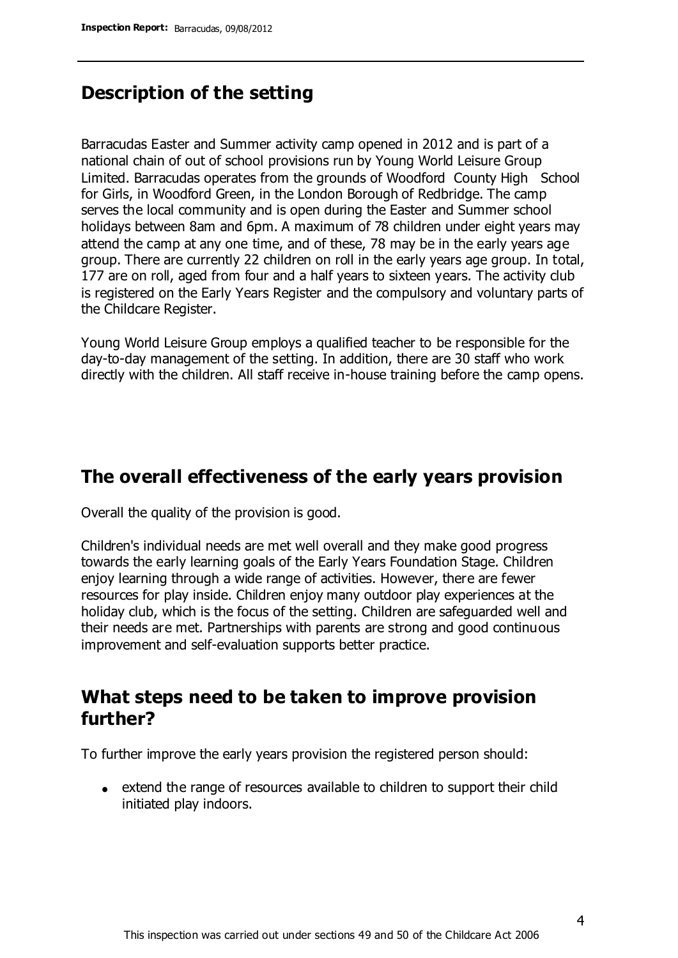### **Description of the setting**

Barracudas Easter and Summer activity camp opened in 2012 and is part of a national chain of out of school provisions run by Young World Leisure Group Limited. Barracudas operates from the grounds of Woodford County High School for Girls, in Woodford Green, in the London Borough of Redbridge. The camp serves the local community and is open during the Easter and Summer school holidays between 8am and 6pm. A maximum of 78 children under eight years may attend the camp at any one time, and of these, 78 may be in the early years age group. There are currently 22 children on roll in the early years age group. In total, 177 are on roll, aged from four and a half years to sixteen years. The activity club is registered on the Early Years Register and the compulsory and voluntary parts of the Childcare Register.

Young World Leisure Group employs a qualified teacher to be responsible for the day-to-day management of the setting. In addition, there are 30 staff who work directly with the children. All staff receive in-house training before the camp opens.

### **The overall effectiveness of the early years provision**

Overall the quality of the provision is good.

Children's individual needs are met well overall and they make good progress towards the early learning goals of the Early Years Foundation Stage. Children enjoy learning through a wide range of activities. However, there are fewer resources for play inside. Children enjoy many outdoor play experiences at the holiday club, which is the focus of the setting. Children are safeguarded well and their needs are met. Partnerships with parents are strong and good continuous improvement and self-evaluation supports better practice.

### **What steps need to be taken to improve provision further?**

To further improve the early years provision the registered person should:

extend the range of resources available to children to support their child initiated play indoors.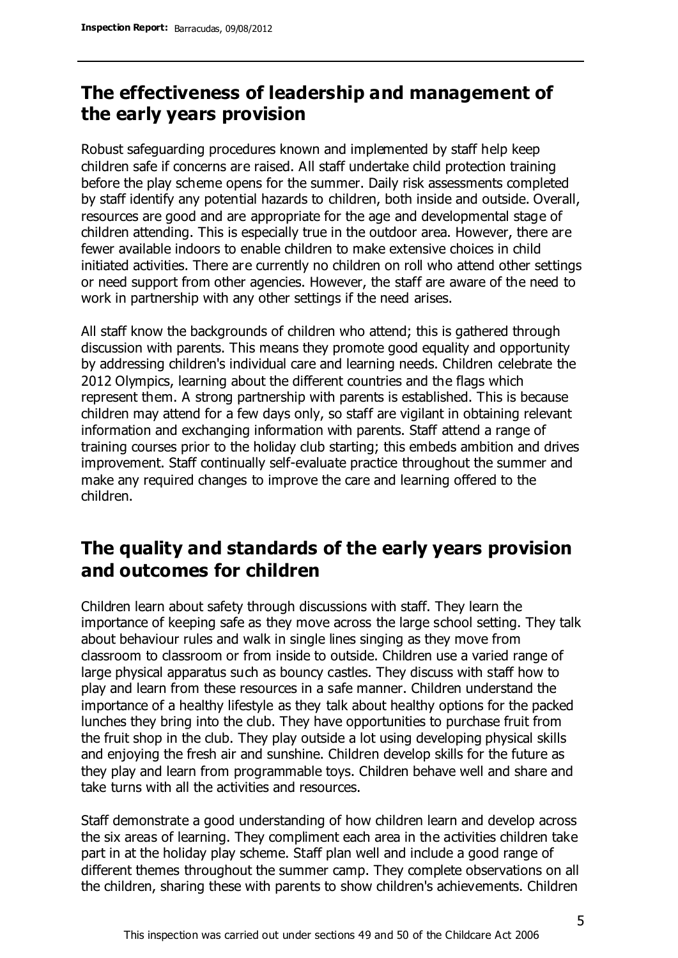### **The effectiveness of leadership and management of the early years provision**

Robust safeguarding procedures known and implemented by staff help keep children safe if concerns are raised. All staff undertake child protection training before the play scheme opens for the summer. Daily risk assessments completed by staff identify any potential hazards to children, both inside and outside. Overall, resources are good and are appropriate for the age and developmental stage of children attending. This is especially true in the outdoor area. However, there are fewer available indoors to enable children to make extensive choices in child initiated activities. There are currently no children on roll who attend other settings or need support from other agencies. However, the staff are aware of the need to work in partnership with any other settings if the need arises.

All staff know the backgrounds of children who attend: this is gathered through discussion with parents. This means they promote good equality and opportunity by addressing children's individual care and learning needs. Children celebrate the 2012 Olympics, learning about the different countries and the flags which represent them. A strong partnership with parents is established. This is because children may attend for a few days only, so staff are vigilant in obtaining relevant information and exchanging information with parents. Staff attend a range of training courses prior to the holiday club starting; this embeds ambition and drives improvement. Staff continually self-evaluate practice throughout the summer and make any required changes to improve the care and learning offered to the children.

### **The quality and standards of the early years provision and outcomes for children**

Children learn about safety through discussions with staff. They learn the importance of keeping safe as they move across the large school setting. They talk about behaviour rules and walk in single lines singing as they move from classroom to classroom or from inside to outside. Children use a varied range of large physical apparatus such as bouncy castles. They discuss with staff how to play and learn from these resources in a safe manner. Children understand the importance of a healthy lifestyle as they talk about healthy options for the packed lunches they bring into the club. They have opportunities to purchase fruit from the fruit shop in the club. They play outside a lot using developing physical skills and enjoying the fresh air and sunshine. Children develop skills for the future as they play and learn from programmable toys. Children behave well and share and take turns with all the activities and resources.

Staff demonstrate a good understanding of how children learn and develop across the six areas of learning. They compliment each area in the activities children take part in at the holiday play scheme. Staff plan well and include a good range of different themes throughout the summer camp. They complete observations on all the children, sharing these with parents to show children's achievements. Children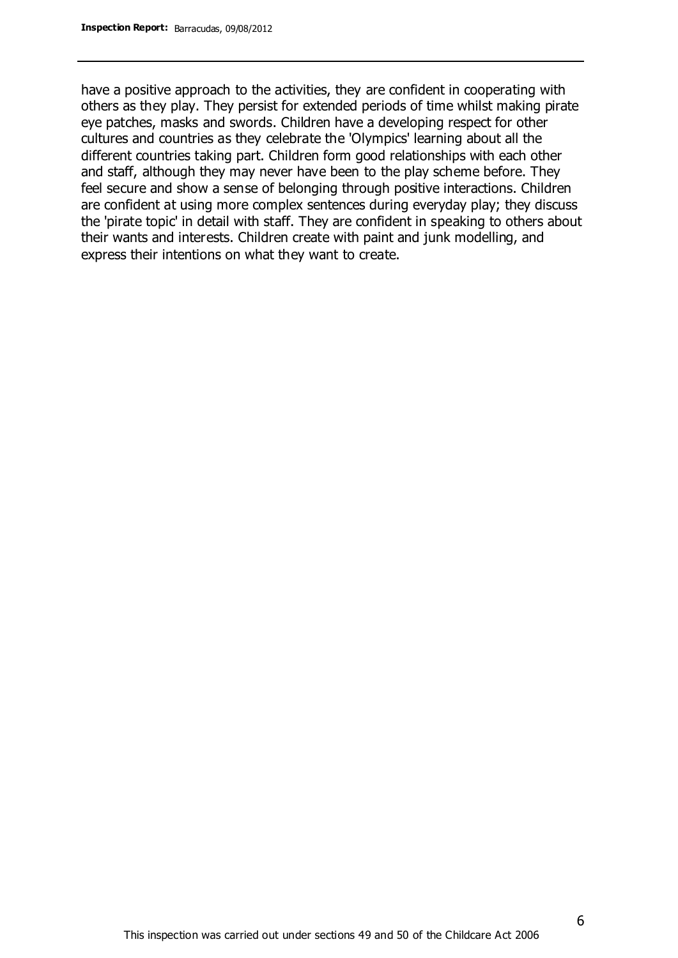have a positive approach to the activities, they are confident in cooperating with others as they play. They persist for extended periods of time whilst making pirate eye patches, masks and swords. Children have a developing respect for other cultures and countries as they celebrate the 'Olympics' learning about all the different countries taking part. Children form good relationships with each other and staff, although they may never have been to the play scheme before. They feel secure and show a sense of belonging through positive interactions. Children are confident at using more complex sentences during everyday play; they discuss the 'pirate topic' in detail with staff. They are confident in speaking to others about their wants and interests. Children create with paint and junk modelling, and express their intentions on what they want to create.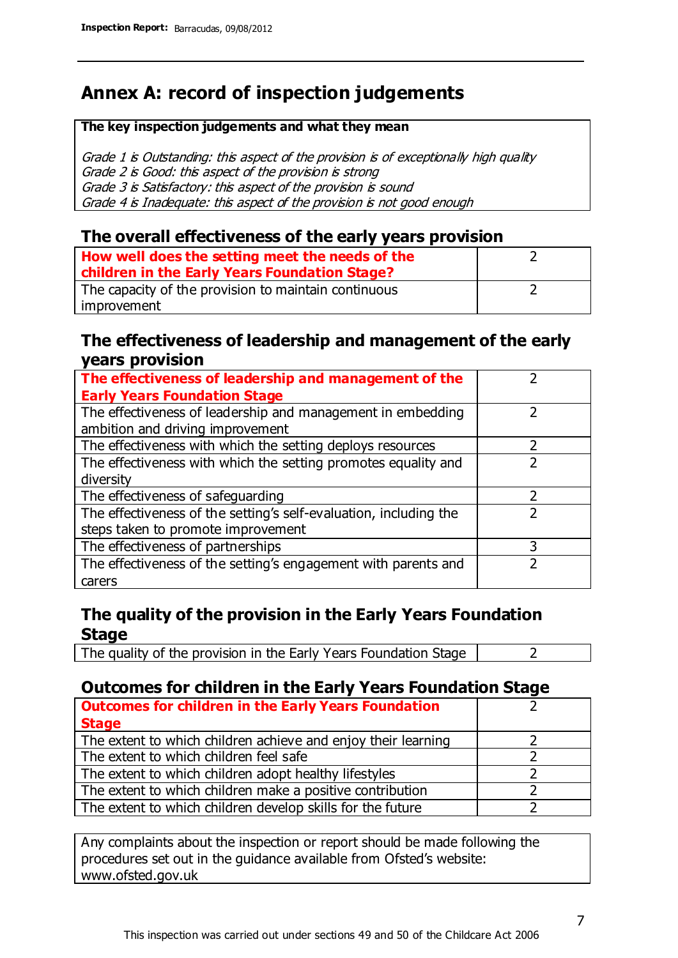### **Annex A: record of inspection judgements**

#### **The key inspection judgements and what they mean**

Grade 1 is Outstanding: this aspect of the provision is of exceptionally high quality Grade 2 is Good: this aspect of the provision is strong Grade 3 is Satisfactory: this aspect of the provision is sound Grade 4 is Inadequate: this aspect of the provision is not good enough

#### **The overall effectiveness of the early years provision**

| How well does the setting meet the needs of the      |  |
|------------------------------------------------------|--|
| children in the Early Years Foundation Stage?        |  |
| The capacity of the provision to maintain continuous |  |
| improvement                                          |  |

#### **The effectiveness of leadership and management of the early years provision**

| The effectiveness of leadership and management of the             |   |
|-------------------------------------------------------------------|---|
| <b>Early Years Foundation Stage</b>                               |   |
| The effectiveness of leadership and management in embedding       |   |
| ambition and driving improvement                                  |   |
| The effectiveness with which the setting deploys resources        |   |
| The effectiveness with which the setting promotes equality and    |   |
| diversity                                                         |   |
| The effectiveness of safeguarding                                 |   |
| The effectiveness of the setting's self-evaluation, including the |   |
| steps taken to promote improvement                                |   |
| The effectiveness of partnerships                                 | 3 |
| The effectiveness of the setting's engagement with parents and    |   |
| carers                                                            |   |

### **The quality of the provision in the Early Years Foundation Stage**

The quality of the provision in the Early Years Foundation Stage  $\vert$  2

### **Outcomes for children in the Early Years Foundation Stage**

| <b>Outcomes for children in the Early Years Foundation</b>    |  |
|---------------------------------------------------------------|--|
| <b>Stage</b>                                                  |  |
| The extent to which children achieve and enjoy their learning |  |
| The extent to which children feel safe                        |  |
| The extent to which children adopt healthy lifestyles         |  |
| The extent to which children make a positive contribution     |  |
| The extent to which children develop skills for the future    |  |

Any complaints about the inspection or report should be made following the procedures set out in the guidance available from Ofsted's website: www.ofsted.gov.uk